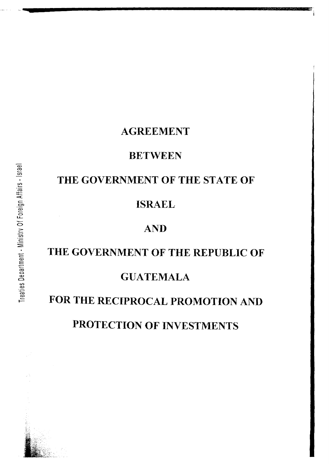## **AGREEMENT**

## **BETWEEN**

## THE GOVERNMENT OF THE STATE OF

## **ISRAEL**

## **AND**

# THE GOVERNMENT OF THE REPUBLIC OF **GUATEMALA**

## FOR THE RECIPROCAL PROMOTION AND PROTECTION OF INVESTMENTS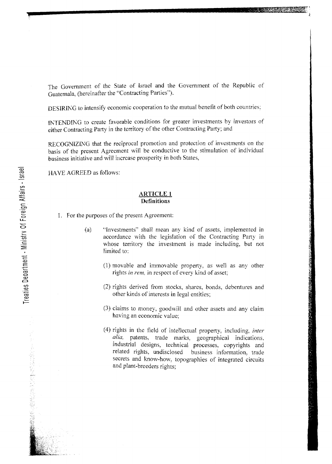The Government of the State of Israel and the Government of the Republic of Guatemala, (hereinafter the "Contracting Parties").

DESIRING to intensify economic cooperation to the mutual benefit of both countries:

IKTENDIKG to create favorable conditions for greater investments by investors of either Contracting Party in the territory of the other Contracting Party; and

RECOGNIZING that the reciprocal promotion and protection of investments on the basis of the present Agreement will be conductive to the stimulation of individual business initiative and \vi11 increase prosperity in both States,

HA VE AGREED as follows:

#### **ARTICLE 1 Definitions**

- I. For the purposes of the present Agreement:
	- (a) "Investments" shall mean any kind of assets, implemented in accordance with the legislation of the Contracting Party in whose territory the investment is made including, but not limited to:
		- (1) movable and immovable property, as well as any other rights *in rem,* in respect of every kind of asset;
		- (2) rights derived from stocks, shares, bonds, debentures and other kinds of interests in legal entities;
		- $(3)$  claims to money, goodwill and other assets and any claim having an economic value;
		- (4) rights in the field of intellectual property, including, *inter alia,* patents, trade marks, geographical indications, industrial designs, technical processes, copyrights and related rights, undisclosed business information, trade secrets and know-how, topographies of integrated circuits and plant-breeders rights;

この「このことは、このように、このようなことが、このことは、最近の場合、「情報の数値」ということになった。 こうきょう しょうしょう こうしゅう こうしょうしょう

**b**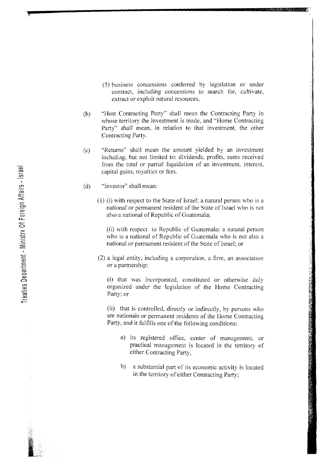- (5) business concessions conferred by legislation or under contract, including concessions to search for, cultivate, extract or exploit natural resources.
- (b) "Host Contracting Party" shall mean the Contracting Party in whose territory the investment is made, and "Home Contracting Party" shall mean, in relation to that investment, the other Contracting Party.

~----------------------------------~' **<sup>i</sup>**

- $(c)$ "Returns" shall mean the amount yielded by an investment includiag, but not limited to: dividends, profits, sums received from the total or partial liquidation of an investment, interest, capital gains, royalties or fees.
- $(d)$ "Investor" shall mean:
	- $(1)$  (i) with respect to the State of Israel: a natural person who is a national or permanent resident of the State of Israel who is not also a national of Republic of Guatemala;

(ii) with respect to Republic of Guatemala: a natural person who is a national of Republic of Guatemala who is not also a national or permanent resident of the State of Israel; or

(2) a legal entity, including a corporation, a firm, an association or a partnership:

(i) that was incorporated, constituted or othenvise duly organized under the legislation of the Home Contracting Party; or

(ii) that is controlled, directly or indirectly, by persons who are nationals or permanent residents of the Home Contracting Party, and it fulfills one of the following conditions:

- a) its registered office, center of management, or practical management is located in the territory of either Contracting Party,
- b) a substantial part of its economic activity is located *in* the territory of either Contracting Party;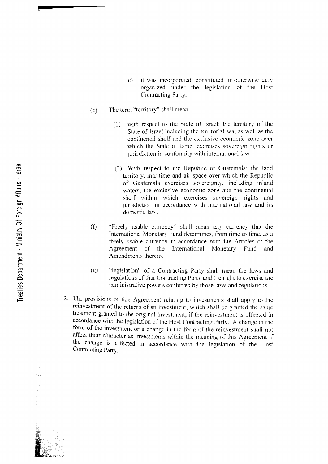- c) it was incorporated, constituted or othenvise duly organized under the legislation of the Host Contracting Party.
- (e) The term "territory" shall mean:
	- $(1)$  with respect to the State of Israel: the territory of the State of Israel including the territorial sea, as well as the continental shelf and the exclusive economic zone over which the State of Israel exercises sovereign rights or jurisdiction in conformity with international law.
	- (2) With respect to the Republic of Guatemala: the land territory, maritime and air space over \vhich the Republic of Guatemala exercises sovereignty, including inland waters, the exclusive economic zone and the continental shelf within which exercises sovereign rights and jurisdiction in accordance with international law and its domestic law.
- (f) "Freely usable currency" shall mean any currency that the International Monetary Fund determines, from time to time, as a freely usable currency in accordance with the Articles of the Agreement of the International Monetary Fund and Amendments thereto.
- (g) "legislation" of a Contracting Party shall mean the laws and regulations of that Contracting Party and the right to exercise the administrative powers conferred by those laws and regulations.
- 2. The provisions of this Agreement relating to investments shall apply to the reinvestment of the returns of an investment, which shall be granted the same treatment granted to the original investment, if the reinvestment is effected in accordance with the legislation of the Host Contracting Party. A change in the form of the investment or a change in the form of the reinvestment shall not affect their character as investments within the meaning of this Agreement if the change is effected in accordance with the legislation of the Host Contracting Party.

**f**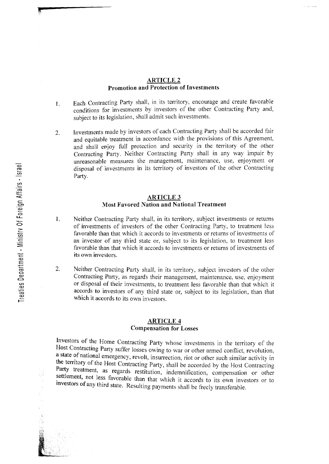#### ARTICLE 2 Promotion and Protection of Investments

- 1. Each Contracting Party shall, in its territory, encourage and create favorable conditions for investments by investors of the other Contracting Party and, subject to its legislation, shall admit such investments.
- 2. Investments made by investors of each Contracting Party shall be accorded fair and equitable treatment in accordance with the provisions of this Agreement, and shall enjoy full protection and security in the territory of the other Contracting Party. Neither Contracting Party shall in any way impair by unreasonable measures the management, maintenance, use, enjoyment or disposal of investments in its territory of investors of the other Contracting Party.

#### **ARTICLE 3 Most Favored Nation and National Treatment**

- 1. Neither Contracting Party shall, in its territory, subject investments or returns of investments of investors of the other Contracting Party, to treatment less favorable than that which it accords to investments or returns of investments of an investor of any third state or, subject to its legislation, to treatment less favorable than that which it accords to investments or returns of investments of its own investors.
- 2. Neither Contracting Party shalf, in its territory, subject investors of the other Contracting Party, as regards their management, maintenance, use, enjoyment or disposal of their investments, to treatment less favorable than that which it accords to investors of any third state or, subject to its legislation, than that which it accords to its own investors.

#### ARTICLE **4**  Compensation for Losses

Investors of the Home Contracting Party whose investments in the territory of the Host Contracting Party suffer losses owing to war or other armed conflict, revolution, a state of national emergency, revolt, insurrection, riot or other such similar activity in the territory of the Host Contracting Party, shall be accorded by the Host Contracting Party treatment, as regards restitution, indemnification, compensation or other settlement, not less favorable than that which it accords to its own investors or to investors of any third state. Resulting payments shall be freely transferable.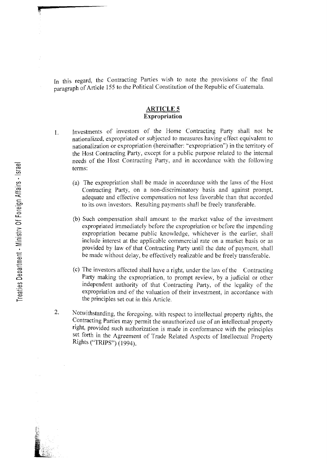In this regard, the Contracting Parties wish to note the provisions of the final paragraph of Article 155 to the Political Constitution of the Republic of Guatemala.

#### **ARTICLE 5 Expropriation**

- 1. Investments of investors of the Home Contracting Party shall not be nationalized, expropriated or subjected to measures having effect equivalent to nationalization or expropriation (hereinafter: "expropriation") in the territory of the Host Contracting Party, except for a public purpose related to the internal needs of the Host Contracting Party, and in accordance with the following terms:
	- (a) The expropriation shall be made in accordance with the laws of the Host Contracting Party, on a non-discriminatory basis and against prompt. adequate and effective compensation not less favorable than that accorded to its own investors. Resulting payments shaIl be freely transferable.
	- (b) Such compensation shalf amount to the market value of the investment expropriated immediately before the expropriation or before the impending expropriation became public knowledge, whichever is the earlier, shall include interest at the applicable commercial rate on a market basis or as provided by law- of that Contracting Party until the date of payment, shall be made without delay, be effectively realizable and be freely transferable.
	- (c) The investors affected shall have a right, under the law of the Contracting Party making the expropriation, to prompt review, by a judicial or other independent authority of that Contracting Party, of the legality of the expropriation and of the valuation of their investment, in accordance with the principles set out in this Article.
- 2. Notwithstanding, the foregoing, with respect to intellectual property rights, the Contracting Parties may permit the unauthorized use of an intellectual property right, provided such authorization is made in conformance with the principles set forth in the Agreement of Trade Related Aspects of Intellectual Property RIghts ('TRIPS") (1994).

**,**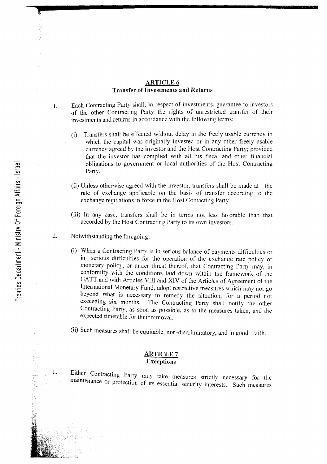#### ARTICLE 6 **Transfer of Investments and Returns**

- 1. Each Contracting Party shall, in respect of investments, guarantee to investors of the other Contracting Pany the rights of unrestricted transfer of their investments and returns in accordance with the following terms:
	- (i) Transfers shall be effected without delay in the freely usable currency in which the capital was originally invested or in any other freely usable currency agreed by the investor and the Host Contracting Pany; provided that the investor has complied \vith all his fiscal and other financial obligations to government or local authorities of the Host Contracting Party.
	- $(i)$  Unless otherwise agreed with the investor, transfers shall be made at the rate of exchange applicable on the basis of transfer according to the exchange regulations in force in the Host Contacting Party.
	- (iii) In any case, transfers shall be in terms not less favorable than that accorded by the Host Contracting Party to its own investors.
- 2. Notwithstanding the foregoing:
	- (i) When a Contracting Pany is in serious balance of payments difficulties or in serious difficulties for the operation of the exchange rate policy or monetary policy, or under threat thereof, that Contracting Party may, in conformity with the conditions laid down within the framework of the GATT and with Anicles VIII and XIV of the Articles of Agreement of the International Monetary Fund, adopt restrictive measures which may not go beyond what is necessary to remedy the situation, for a period not exceeding six months. The Contracting Party shall notify the other The Contracting Party shall notify the other Contracting Party, as soon as possible, as to the measures taken, and the expected timetable for their removal.
	- (ii) Such measures shall be equitable, non-discriminatory, and in good faith.

#### **ARTICLE 7 Exceptions**

Either Contracting Party may take measures strictly necessary for the maintenance or protection of its essential security interests. Such measures

L

**,**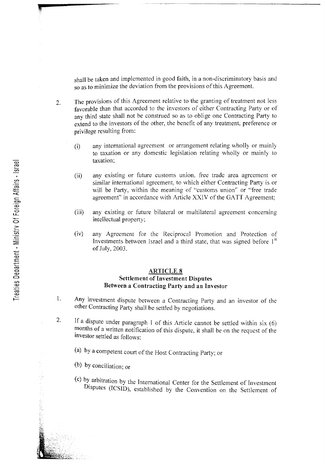shall be taken and implemented in good faith, in a non-discriminatory basis and so as to minimize the deviation from the provisions of this Agreement.

- 2. The provisions of this Agreement relative to the granting of treatment not less favorable than that accorded to the investors of either Contracting Party or of any third state shall not be construed so as to oblige one Contracting Party to extend to the investors of the other, the benefit of any treatment, preference or privilege resulting from:
	- (i) any international agreement or arrangement relating \vholly or mainly to taxation or any domestic legislation relating wholly or mainly to taxation;
	- (ii) any existing or future customs union, free trade area agreement or similar international agreement, to which either Contracting Party is or will be Party, within the meaning of "customs union" or "free trade agreement" in accordance with Article XXIV of the GATT Agreement;
	- (iii) any existing or future bilateral or multilateral agreement concerning intellectual property;
	- (iv) any Agreement for the ReciprocaJ Promotion and Protection of Investments between Israel and a third state, that was signed before  $1<sup>st</sup>$ of July, 2003.

#### **ARTICLE 8** Settlement of Investment Disputes Between a Contracting Party and an Investor

- L Any investment dispute between a Contracting Party and an investor of the other Contracting Party shall be settled by negotiations.
- 2. If a dispute under paragraph 1 of this Article cannot be settled within six (6) months of a written notification of this dispute, it shall be on the request of the Investor settled as follows:
	- (a) by a competent court of the Host Contracting Party; or
	- (b) by conciliation; or
	- (c) by, arbitration by the International Center for the Settlement of Investment Disputes (ICSID), established by the Convention on the Settlement of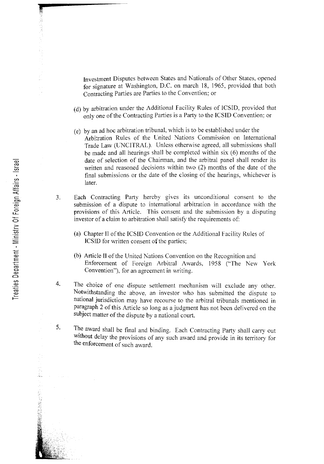Investment Disputes between States and Nationals of Other States, opened for signature at Washington, D.C. on march 18, 1965, provided that both Contracting Parties are Parties to the Convention; or

- (d) by arbitration under the Additional Facility Rules of lCS10, provided that only one of the Contracting Parties is a Party to the ICSID Convention; or
- (e) by an ad hoc arbitration tribunal, \vhich is to be established under the Arbitration Rules of the United Nations Commission on International Trade Law (UNCITRAL). Unless otherwise agreed, all submissions shall be made and all hearings shall be completed \vithin six (6) months of the date of selection of the Chairman, and the arbitral panel shall render its written and reasoned decisions within two (2) months of the date of the final submissions or the date of the closing of the hearings, whichever is later.
- 3. Each Contracting Party hereby gives its unconditional consent to the submission of a dispute to international arbitration in accordance with the provisions of this Article. This consent and the submission by a disputing investor of a claim to arbitration shall satisfy the requirements of:
	- (a) Chapter II of the ICSID Convention or the Additional Facility Rules of ICSID for written consent of the parties;
	- (b) Article II of the United Nations Convention on the Recognition and Enforcement of Foreign Arbitral Awards, 1958 ("The New York Convention"), for an agreement in writing.
- 4. The choice of one dispute settlement mechanism will exclude any other. Notwithstanding the above, an investor who has submitted the dispute to national jurisdiction may have recourse to the arbitral tribunals mentioned in paragraph 2 of this Article so long as a judgment has not been delivered on the subject matter of the dispute by a national court.
- 5. The award shall be final and binding. Each Contracting Party shall carry out without delay the provisions of any such award and provide in its territory for the enforcement of such award.

计方式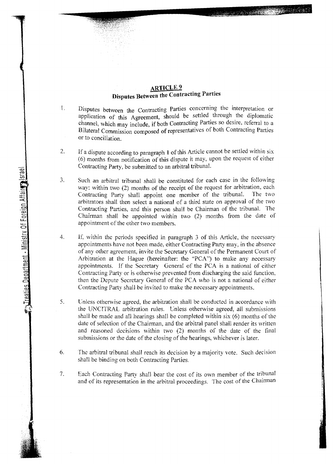#### **ARTICLE 9 Disputes Between the Contracting Parties**

- 1. Disputes between the Contracting Parties concerning the interpretation or application of this Agreement, should be settled through the diplomatic channel, which may include, if both Contracting Parties so desire, referral to a Bilateral Commission composed of representatives of both Contracting Parties or to conciliation.
- 2. If a dispute according to paragraph 1 of this Article cannot be settled within  $six$ (6) months from notification of this dispute It may, upon the request of either Contracting Party, be submitted to an arbitral tribunal.
- 3. Such an arbitral tribunal shall be constituted for each case in the following way: within two (2) months of the receipt of the request for arbitration, each Contracting Party shall appoint one member of the tribunal. The two arbitrators shall then select a national of a third state on approval of the two Contracting Parties, and this person shall be Chairman of the tribunal. The Chairman shall be appointed within two  $(2)$  months from the date of appointment of the other two members.
- 4. If, within the periods specified in paragraph 3 of this Article, the necessary appointments have not been made, either Contracting Party may, in the absence of any other agreement, invite the Secretary General of the Permanent Court of Arbitration at the Hague (hereinafter: the "PCA") to make any necessary appointments. If the Secretary General of the PCA is a national of either Contracting Party or is otherwise prevented from discharging the said function, then the Depute Secretary General of the PCA \vho is not a national of either *Contracting* Party shall be invited to make the necessary appointments.
- 5. Cnless otherwise agreed, the arbitration shall be conducted in accordance with the UNCITRAL arbitration rules. Unless otherwise agreed, all submissions shall be made and all hearings shall be completed *within* six (6) months of the date of selection of the Chairman, and the arbitral panel shall render its written and reasoned decisions within two  $(2)$  months of the date of the final submissions or the date of the dosing of the hearings, \-vhichever *is* later.
- 6. The arbitral tribunal shall reach its decision by a majority vote. Such decision shall be binding on both Contracting Parties.
- 7. Each Contracting Party shall bear the cost of its own member of the tribunal and of its representation in the arbitral proceedings. The cost of the Chairman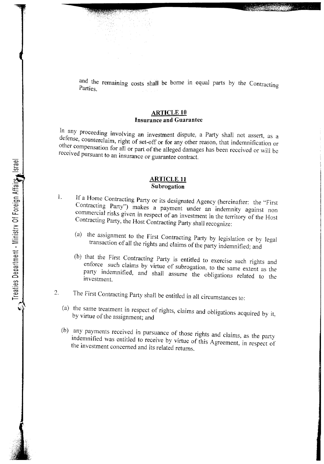and the remaining costs shall be borne in equal parts by the Contracting Parties.

#### **ARTICLE 10 Insurance and Guarantee**

In any proceeding involving an investment dispute, a Party shall not assert, as a defense, counterclaim, right of set-off or for any other reason, that indemnification or other compensation for al1 or part of the al1eged damages has been received or will be received pursuant to an insurance or guarantee contract.

#### **ARTICLE 11 Subrogation**

- 1. If a Home Contracting Party or its designated Agency (hereinafter: the "First Contracting Party") makes a payment under an indemnity against non commercial risks given in respect of an investment in the territory of the Host Contracting Party, the Host Contracting Party shall recognize:
	- (a) the assignment to the First Contracting Party by legislation or by legal transaction of all the rights and claims of the party indemnified; and
	- (b) that the First Contracting Party is entitled to exercise such rights and enforce such claims by virtue of SUbrogation, to the same extent as the party indemnified, and shall assume the obligations related to the investment.
- The First Contracting Party shall be entitled in all circumstances to: 2.
	- (a) the same treatment in respect of rights, claims and obligations acquired by it by virtue of the assignment; and
	- (b) any payments received in pursuance of those rights and claims, as the party indemnified was entitled to receive by virtue of this Agreement, in respect of the investment concerned and its related returns.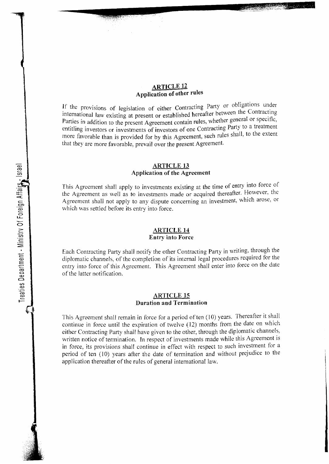#### **ARTICLE 12 Application of other rules**

If the provisions of legislation of either Contracting Party or obligations under international law existing at present or established hereafter between the Contracting Parties in addition to the present Agreement contain rules, whether general or specific, entitling investors or investments of investors of one Contracting Party to a treatment more favorable than is provided for by this Agreement, such rules shall, to the extent that they are more favorable, prevail over the present Agreement.

#### **ARTICLE 13 Application of the Agreement**

This Agreement shall apply to investments existing at the time of entry into force of the Agreement as well as to investments made or acquired thereafter. However, the Agreement shall not apply to any dispute concerning an investment, which arose, or which was settled before its entry into force.

#### **ARTICLE 14 Entry into Force**

Each Contracting Party shall notify the other Contracting Party in \\Titing, through the diplomatic channels, of the completion of its internal legal procedures required for the entry into force of this Agreement. This Agreement shall enter into force on the date of the latter notification.

#### **ARTICLE.1S Duration and Termination**

This Agreement shall remain in force for a period often (10) years. Thereafter it shall continue in force until the expiration of twelve  $(12)$  months from the date on which either Contracting Party shall have given to the other, through the diplomatic channels, written notice of termination. In respect of investments made while this Agreement is in force, its provisions shall continue in effect with respect to such investment for a period of ten (10) years after the date of termination and without prejudice to the application thereafter of the rules of general international law.